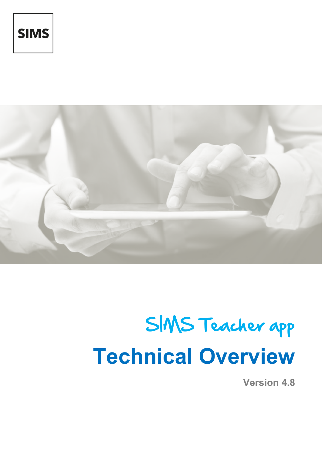



# SIMS Teacher app **Technical Overview**

**Version 4.8**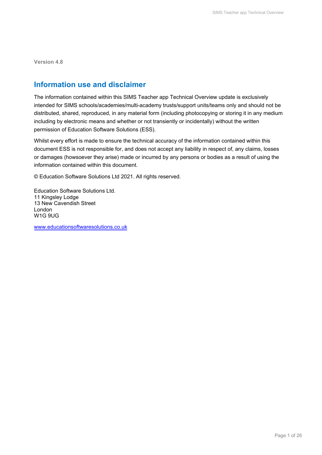**Version 4.8**

### **Information use and disclaimer**

The information contained within this SIMS Teacher app Technical Overview update is exclusively intended for SIMS schools/academies/multi-academy trusts/support units/teams only and should not be distributed, shared, reproduced, in any material form (including photocopying or storing it in any medium including by electronic means and whether or not transiently or incidentally) without the written permission of Education Software Solutions (ESS).

Whilst every effort is made to ensure the technical accuracy of the information contained within this document ESS is not responsible for, and does not accept any liability in respect of, any claims, losses or damages (howsoever they arise) made or incurred by any persons or bodies as a result of using the information contained within this document.

© Education Software Solutions Ltd 2021. All rights reserved.

Education Software Solutions Ltd. 11 Kingsley Lodge 13 New Cavendish Street London W1G 9UG

[www.educationsoftwaresolutions.co.uk](http://www.educationsoftwaresolutions.co.uk/)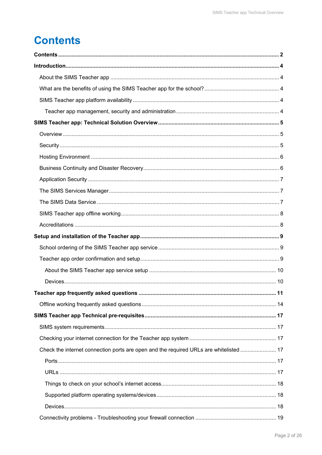## <span id="page-2-0"></span>**Contents**

|                                                                                       | 11 |
|---------------------------------------------------------------------------------------|----|
|                                                                                       |    |
|                                                                                       |    |
|                                                                                       |    |
|                                                                                       |    |
| Check the internet connection ports are open and the required URLs are whitelisted 17 |    |
|                                                                                       |    |
|                                                                                       |    |
|                                                                                       |    |
|                                                                                       |    |
|                                                                                       |    |
|                                                                                       |    |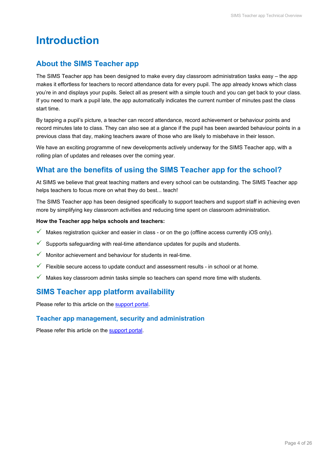## <span id="page-4-1"></span><span id="page-4-0"></span>**Introduction**

## **About the SIMS Teacher app**

The SIMS Teacher app has been designed to make every day classroom administration tasks easy – the app makes it effortless for teachers to record attendance data for every pupil. The app already knows which class you're in and displays your pupils. Select all as present with a simple touch and you can get back to your class. If you need to mark a pupil late, the app automatically indicates the current number of minutes past the class start time.

By tapping a pupil's picture, a teacher can record attendance, record achievement or behaviour points and record minutes late to class. They can also see at a glance if the pupil has been awarded behaviour points in a previous class that day, making teachers aware of those who are likely to misbehave in their lesson.

We have an exciting programme of new developments actively underway for the SIMS Teacher app, with a rolling plan of updates and releases over the coming year.

## <span id="page-4-2"></span>**What are the benefits of using the SIMS Teacher app for the school?**

At SIMS we believe that great teaching matters and every school can be outstanding. The SIMS Teacher app helps teachers to focus more on what they do best... teach!

The SIMS Teacher app has been designed specifically to support teachers and support staff in achieving even more by simplifying key classroom activities and reducing time spent on classroom administration.

#### **How the Teacher app helps schools and teachers:**

- $\checkmark$  Makes registration quicker and easier in class or on the go (offline access currently iOS only).
- $\checkmark$  Supports safeguarding with real-time attendance updates for pupils and students.
- $\checkmark$  Monitor achievement and behaviour for students in real-time.
- $\checkmark$  Flexible secure access to update conduct and assessment results in school or at home.
- <span id="page-4-3"></span> $\checkmark$  Makes key classroom admin tasks simple so teachers can spend more time with students.

## **SIMS Teacher app platform availability**

<span id="page-4-4"></span>Please refer to this article on the [support portal.](https://support.capitasoftware.com/csm?id=kb_article_view&sysparm_article=KB0044021)

#### **Teacher app management, security and administration**

Please refer this article on the [support portal.](https://support.capitasoftware.com/csm?id=kb_article_view&sysparm_article=KB0044021)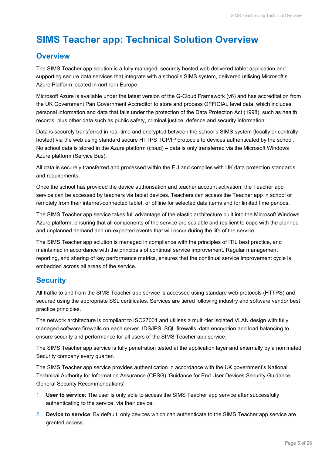## <span id="page-5-0"></span>**SIMS Teacher app: Technical Solution Overview**

## <span id="page-5-1"></span>**Overview**

The SIMS Teacher app solution is a fully managed, securely hosted web delivered tablet application and supporting secure data services that integrate with a school's SIMS system, delivered utilising Microsoft's Azure Platform located in northern Europe.

Microsoft Azure is available under the latest version of the G-Cloud Framework (v6) and has accreditation from the UK Government Pan Government Accreditor to store and process OFFICIAL level data, which includes personal information and data that falls under the protection of the Data Protection Act (1998), such as health records, plus other data such as public safety, criminal justice, defence and security information.

Data is securely transferred in real-time and encrypted between the school's SIMS system (locally or centrally hosted) via the web using standard secure HTTPS TCP/IP protocols to devices authenticated by the school. No school data is stored in the Azure platform (cloud) – data is only transferred via the Microsoft Windows Azure platform (Service Bus).

All data is securely transferred and processed within the EU and complies with UK data protection standards and requirements.

Once the school has provided the device authorisation and teacher account activation, the Teacher app service can be accessed by teachers via tablet devices. Teachers can access the Teacher app in school or remotely from their internet-connected tablet, or offline for selected data items and for limited time periods.

The SIMS Teacher app service takes full advantage of the elastic architecture built into the Microsoft Windows Azure platform, ensuring that all components of the service are scalable and resilient to cope with the planned and unplanned demand and un-expected events that will occur during the life of the service.

The SIMS Teacher app solution is managed in compliance with the principles of ITIL best practice, and maintained in accordance with the principals of continual service improvement. Regular management reporting, and sharing of key performance metrics, ensures that the continual service improvement cycle is embedded across all areas of the service.

## <span id="page-5-2"></span>**Security**

All traffic to and from the SIMS Teacher app service is accessed using standard web protocols (HTTPS) and secured using the appropriate SSL certificates. Services are tiered following industry and software vendor best practice principles.

The network architecture is compliant to ISO27001 and utilises a multi-tier isolated VLAN design with fully managed software firewalls on each server, IDS/IPS, SQL firewalls, data encryption and load balancing to ensure security and performance for all users of the SIMS Teacher app service.

The SIMS Teacher app service is fully penetration tested at the application layer and externally by a nominated Security company every quarter.

The SIMS Teacher app service provides authentication in accordance with the UK government's National Technical Authority for Information Assurance (CESG) 'Guidance for End User Devices Security Guidance: General Security Recommendations':

- 1. **User to service**: The user is only able to access the SIMS Teacher app service after successfully authenticating to the service, via their device.
- 2. **Device to service**: By default, only devices which can authenticate to the SIMS Teacher app service are granted access.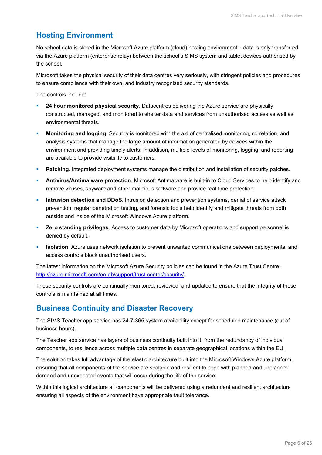## <span id="page-6-0"></span>**Hosting Environment**

No school data is stored in the Microsoft Azure platform (cloud) hosting environment – data is only transferred via the Azure platform (enterprise relay) between the school's SIMS system and tablet devices authorised by the school.

Microsoft takes the physical security of their data centres very seriously, with stringent policies and procedures to ensure compliance with their own, and industry recognised security standards.

The controls include:

- **24 hour monitored physical security**. Datacentres delivering the Azure service are physically constructed, managed, and monitored to shelter data and services from unauthorised access as well as environmental threats.
- **Monitoring and logging**. Security is monitored with the aid of centralised monitoring, correlation, and analysis systems that manage the large amount of information generated by devices within the environment and providing timely alerts. In addition, multiple levels of monitoring, logging, and reporting are available to provide visibility to customers.
- **Patching**. Integrated deployment systems manage the distribution and installation of security patches.
- **Antivirus/Antimalware protection**. Microsoft Antimalware is built-in to Cloud Services to help identify and remove viruses, spyware and other malicious software and provide real time protection.
- **Intrusion detection and DDoS**. Intrusion detection and prevention systems, denial of service attack prevention, regular penetration testing, and forensic tools help identify and mitigate threats from both outside and inside of the Microsoft Windows Azure platform.
- **Zero standing privileges**. Access to customer data by Microsoft operations and support personnel is denied by default.
- **Isolation**. Azure uses network isolation to prevent unwanted communications between deployments, and access controls block unauthorised users.

The latest information on the Microsoft Azure Security policies can be found in the Azure Trust Centre: [http://azure.microsoft.com/en-gb/support/trust-center/security/.](http://azure.microsoft.com/en-gb/support/trust-center/security/)

These security controls are continually monitored, reviewed, and updated to ensure that the integrity of these controls is maintained at all times.

## <span id="page-6-1"></span>**Business Continuity and Disaster Recovery**

The SIMS Teacher app service has 24-7-365 system availability except for scheduled maintenance (out of business hours).

The Teacher app service has layers of business continuity built into it, from the redundancy of individual components, to resilience across multiple data centres in separate geographical locations within the EU.

The solution takes full advantage of the elastic architecture built into the Microsoft Windows Azure platform, ensuring that all components of the service are scalable and resilient to cope with planned and unplanned demand and unexpected events that will occur during the life of the service.

Within this logical architecture all components will be delivered using a redundant and resilient architecture ensuring all aspects of the environment have appropriate fault tolerance.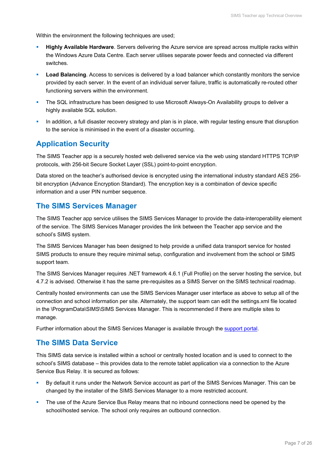Within the environment the following techniques are used;

- **Highly Available Hardware**. Servers delivering the Azure service are spread across multiple racks within the Windows Azure Data Centre. Each server utilises separate power feeds and connected via different switches.
- **Load Balancing**. Access to services is delivered by a load balancer which constantly monitors the service provided by each server. In the event of an individual server failure, traffic is automatically re-routed other functioning servers within the environment.
- **The SQL infrastructure has been designed to use Microsoft Always-On Availability groups to deliver a** highly available SQL solution.
- In addition, a full disaster recovery strategy and plan is in place, with regular testing ensure that disruption to the service is minimised in the event of a disaster occurring.

## <span id="page-7-0"></span>**Application Security**

The SIMS Teacher app is a securely hosted web delivered service via the web using standard HTTPS TCP/IP protocols, with 256-bit Secure Socket Layer (SSL) point-to-point encryption.

Data stored on the teacher's authorised device is encrypted using the international industry standard AES 256 bit encryption (Advance Encryption Standard). The encryption key is a combination of device specific information and a user PIN number sequence.

## <span id="page-7-1"></span>**The SIMS Services Manager**

The SIMS Teacher app service utilises the SIMS Services Manager to provide the data-interoperability element of the service. The SIMS Services Manager provides the link between the Teacher app service and the school's SIMS system.

The SIMS Services Manager has been designed to help provide a unified data transport service for hosted SIMS products to ensure they require minimal setup, configuration and involvement from the school or SIMS support team.

The SIMS Services Manager requires .NET framework 4.6.1 (Full Profile) on the server hosting the service, but 4.7.2 is advised. Otherwise it has the same pre-requisites as a SIMS Server on the SIMS technical roadmap.

Centrally hosted environments can use the SIMS Services Manager user interface as above to setup all of the connection and school information per site. Alternately, the support team can edit the settings.xml file located in the \ProgramData\SIMS\SIMS Services Manager. This is recommended if there are multiple sites to manage.

<span id="page-7-2"></span>Further information about the SIMS Services Manager is available through the [support portal.](https://support.capitasoftware.com/)

### **The SIMS Data Service**

This SIMS data service is installed within a school or centrally hosted location and is used to connect to the school's SIMS database – this provides data to the remote tablet application via a connection to the Azure Service Bus Relay. It is secured as follows:

- By default it runs under the Network Service account as part of the SIMS Services Manager. This can be changed by the installer of the SIMS Services Manager to a more restricted account.
- **The use of the Azure Service Bus Relay means that no inbound connections need be opened by the** school/hosted service. The school only requires an outbound connection.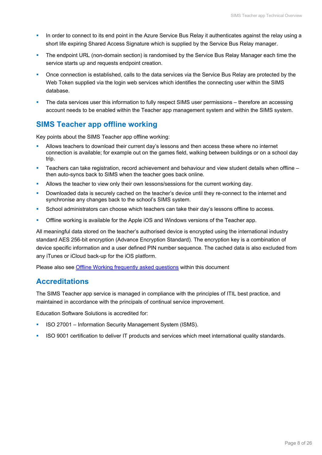- In order to connect to its end point in the Azure Service Bus Relay it authenticates against the relay using a short life expiring Shared Access Signature which is supplied by the Service Bus Relay manager.
- The endpoint URL (non-domain section) is randomised by the Service Bus Relay Manager each time the service starts up and requests endpoint creation.
- **Once connection is established, calls to the data services via the Service Bus Relay are protected by the** Web Token supplied via the login web services which identifies the connecting user within the SIMS database.
- The data services user this information to fully respect SIMS user permissions therefore an accessing account needs to be enabled within the Teacher app management system and within the SIMS system.

## <span id="page-8-0"></span>**SIMS Teacher app offline working**

Key points about the SIMS Teacher app offline working:

- Allows teachers to download their current day's lessons and then access these where no internet connection is available; for example out on the games field, walking between buildings or on a school day trip.
- Teachers can take registration, record achievement and behaviour and view student details when offline then auto-syncs back to SIMS when the teacher goes back online.
- Allows the teacher to view only their own lessons/sessions for the current working day.
- Downloaded data is securely cached on the teacher's device until they re-connect to the internet and synchronise any changes back to the school's SIMS system.
- School administrators can choose which teachers can take their day's lessons offline to access.
- Offline working is available for the Apple iOS and Windows versions of the Teacher app.

All meaningful data stored on the teacher's authorised device is encrypted using the international industry standard AES 256-bit encryption (Advance Encryption Standard). The encryption key is a combination of device specific information and a user defined PIN number sequence. The cached data is also excluded from any iTunes or iCloud back-up for the iOS platform.

<span id="page-8-1"></span>Please also see [Offline Working frequently asked questions](#page-14-0) within this document

### **Accreditations**

The SIMS Teacher app service is managed in compliance with the principles of ITIL best practice, and maintained in accordance with the principals of continual service improvement.

Education Software Solutions is accredited for:

- ISO 27001 Information Security Management System (ISMS).
- ISO 9001 certification to deliver IT products and services which meet international quality standards.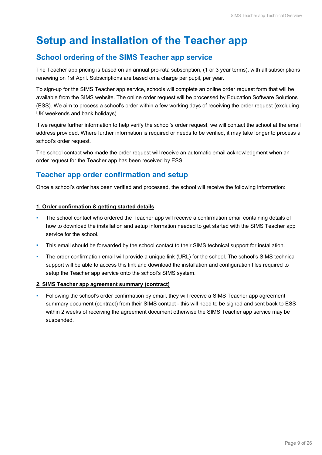## <span id="page-9-0"></span>**Setup and installation of the Teacher app**

## <span id="page-9-1"></span>**School ordering of the SIMS Teacher app service**

The Teacher app pricing is based on an annual pro-rata subscription, (1 or 3 year terms), with all subscriptions renewing on 1st April. Subscriptions are based on a charge per pupil, per year.

To sign-up for the SIMS Teacher app service, schools will complete an online order request form that will be available from the SIMS website. The online order request will be processed by Education Software Solutions (ESS). We aim to process a school's order within a few working days of receiving the order request (excluding UK weekends and bank holidays).

If we require further information to help verify the school's order request, we will contact the school at the email address provided. Where further information is required or needs to be verified, it may take longer to process a school's order request.

The school contact who made the order request will receive an automatic email acknowledgment when an order request for the Teacher app has been received by ESS.

## <span id="page-9-2"></span>**Teacher app order confirmation and setup**

Once a school's order has been verified and processed, the school will receive the following information:

#### **1. Order confirmation & getting started details**

- **The school contact who ordered the Teacher app will receive a confirmation email containing details of** how to download the installation and setup information needed to get started with the SIMS Teacher app service for the school.
- **This email should be forwarded by the school contact to their SIMS technical support for installation.**
- The order confirmation email will provide a unique link (URL) for the school. The school's SIMS technical support will be able to access this link and download the installation and configuration files required to setup the Teacher app service onto the school's SIMS system.

#### **2. SIMS Teacher app agreement summary (contract)**

 Following the school's order confirmation by email, they will receive a SIMS Teacher app agreement summary document (contract) from their SIMS contact - this will need to be signed and sent back to ESS within 2 weeks of receiving the agreement document otherwise the SIMS Teacher app service may be suspended.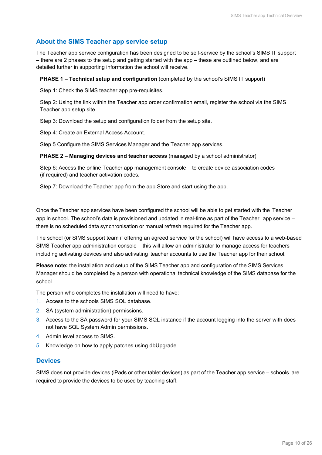### <span id="page-10-0"></span>**About the SIMS Teacher app service setup**

The Teacher app service configuration has been designed to be self-service by the school's SIMS IT support – there are 2 phases to the setup and getting started with the app – these are outlined below, and are detailed further in supporting information the school will receive.

#### **PHASE 1 – Technical setup and configuration** (completed by the school's SIMS IT support)

Step 1: Check the SIMS teacher app pre-requisites.

Step 2: Using the link within the Teacher app order confirmation email, register the school via the SIMS Teacher app setup site.

Step 3: Download the setup and configuration folder from the setup site.

Step 4: Create an External Access Account.

Step 5 Configure the SIMS Services Manager and the Teacher app services.

#### **PHASE 2 – Managing devices and teacher access** (managed by a school administrator)

Step 6: Access the online Teacher app management console – to create device association codes (if required) and teacher activation codes.

Step 7: Download the Teacher app from the app Store and start using the app.

Once the Teacher app services have been configured the school will be able to get started with the Teacher app in school. The school's data is provisioned and updated in real-time as part of the Teacher app service – there is no scheduled data synchronisation or manual refresh required for the Teacher app.

The school (or SIMS support team if offering an agreed service for the school) will have access to a web-based SIMS Teacher app administration console – this will allow an administrator to manage access for teachers – including activating devices and also activating teacher accounts to use the Teacher app for their school.

**Please note:** the installation and setup of the SIMS Teacher app and configuration of the SIMS Services Manager should be completed by a person with operational technical knowledge of the SIMS database for the school.

The person who completes the installation will need to have:

- 1. Access to the schools SIMS SQL database.
- 2. SA (system administration) permissions.
- 3. Access to the SA password for your SIMS SQL instance if the account logging into the server with does not have SQL System Admin permissions.
- 4. Admin level access to SIMS.
- <span id="page-10-1"></span>5. Knowledge on how to apply patches using dbUpgrade.

#### **Devices**

SIMS does not provide devices (iPads or other tablet devices) as part of the Teacher app service – schools are required to provide the devices to be used by teaching staff.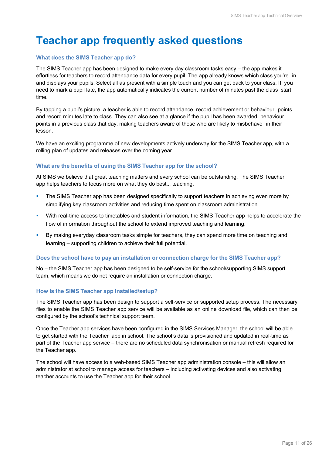## <span id="page-11-0"></span>**Teacher app frequently asked questions**

#### **What does the SIMS Teacher app do?**

The SIMS Teacher app has been designed to make every day classroom tasks easy – the app makes it effortless for teachers to record attendance data for every pupil. The app already knows which class you're in and displays your pupils. Select all as present with a simple touch and you can get back to your class. If you need to mark a pupil late, the app automatically indicates the current number of minutes past the class start time.

By tapping a pupil's picture, a teacher is able to record attendance, record achievement or behaviour points and record minutes late to class. They can also see at a glance if the pupil has been awarded behaviour points in a previous class that day, making teachers aware of those who are likely to misbehave in their lesson.

We have an exciting programme of new developments actively underway for the SIMS Teacher app, with a rolling plan of updates and releases over the coming year.

#### **What are the benefits of using the SIMS Teacher app for the school?**

At SIMS we believe that great teaching matters and every school can be outstanding. The SIMS Teacher app helps teachers to focus more on what they do best... teaching.

- **The SIMS Teacher app has been designed specifically to support teachers in achieving even more by** simplifying key classroom activities and reducing time spent on classroom administration.
- With real-time access to timetables and student information, the SIMS Teacher app helps to accelerate the flow of information throughout the school to extend improved teaching and learning.
- By making everyday classroom tasks simple for teachers, they can spend more time on teaching and learning – supporting children to achieve their full potential.

#### **Does the school have to pay an installation or connection charge for the SIMS Teacher app?**

No – the SIMS Teacher app has been designed to be self-service for the school/supporting SIMS support team, which means we do not require an installation or connection charge.

#### **How Is the SIMS Teacher app installed/setup?**

The SIMS Teacher app has been design to support a self-service or supported setup process. The necessary files to enable the SIMS Teacher app service will be available as an online download file, which can then be configured by the school's technical support team.

Once the Teacher app services have been configured in the SIMS Services Manager, the school will be able to get started with the Teacher app in school. The school's data is provisioned and updated in real-time as part of the Teacher app service – there are no scheduled data synchronisation or manual refresh required for the Teacher app.

The school will have access to a web-based SIMS Teacher app administration console – this will allow an administrator at school to manage access for teachers – including activating devices and also activating teacher accounts to use the Teacher app for their school.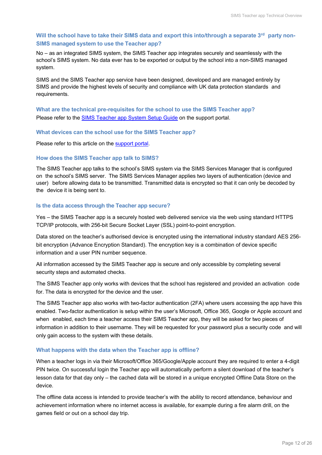#### **Will the school have to take their SIMS data and export this into/through a separate 3rd party non-SIMS managed system to use the Teacher app?**

No – as an integrated SIMS system, the SIMS Teacher app integrates securely and seamlessly with the school's SIMS system. No data ever has to be exported or output by the school into a non-SIMS managed system.

SIMS and the SIMS Teacher app service have been designed, developed and are managed entirely by SIMS and provide the highest levels of security and compliance with UK data protection standards and requirements.

#### **What are the technical pre-requisites for the school to use the SIMS Teacher app?** Please refer to the [SIMS Teacher app System Setup Guide](https://support.capitasoftware.com/csm?id=kb_article_view&sysparm_article=KB0036049) on the support portal.

#### **What devices can the school use for the SIMS Teacher app?**

Please refer to this article on the [support portal.](https://support.capitasoftware.com/csm?id=kb_article_view&sysparm_article=KB0044021)

#### **How does the SIMS Teacher app talk to SIMS?**

The SIMS Teacher app talks to the school's SIMS system via the SIMS Services Manager that is configured on the school's SIMS server. The SIMS Services Manager applies two layers of authentication (device and user) before allowing data to be transmitted. Transmitted data is encrypted so that it can only be decoded by the device it is being sent to.

#### **Is the data access through the Teacher app secure?**

Yes – the SIMS Teacher app is a securely hosted web delivered service via the web using standard HTTPS TCP/IP protocols, with 256-bit Secure Socket Layer (SSL) point-to-point encryption.

Data stored on the teacher's authorised device is encrypted using the international industry standard AES 256 bit encryption (Advance Encryption Standard). The encryption key is a combination of device specific information and a user PIN number sequence.

All information accessed by the SIMS Teacher app is secure and only accessible by completing several security steps and automated checks.

The SIMS Teacher app only works with devices that the school has registered and provided an activation code for. The data is encrypted for the device and the user.

The SIMS Teacher app also works with two-factor authentication (2FA) where users accessing the app have this enabled. Two-factor authentication is setup within the user's Microsoft, Office 365, Google or Apple account and when enabled, each time a teacher access their SIMS Teacher app, they will be asked for two pieces of information in addition to their username. They will be requested for your password plus a security code and will only gain access to the system with these details.

#### **What happens with the data when the Teacher app is offline?**

When a teacher logs in via their Microsoft/Office 365/Google/Apple account they are required to enter a 4-digit PIN twice. On successful login the Teacher app will automatically perform a silent download of the teacher's lesson data for that day only – the cached data will be stored in a unique encrypted Offline Data Store on the device.

The offline data access is intended to provide teacher's with the ability to record attendance, behaviour and achievement information where no internet access is available, for example during a fire alarm drill, on the games field or out on a school day trip.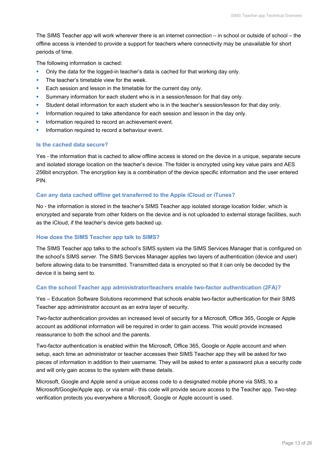The SIMS Teacher app will work wherever there is an internet connection – in school or outside of school – the offline access is intended to provide a support for teachers where connectivity may be unavailable for short periods of time.

The following information is cached:

- Only the data for the logged-in teacher's data is cached for that working day only.
- The teacher's timetable view for the week.
- **Each session and lesson in the timetable for the current day only.**
- Summary information for each student who is in a session/lesson for that day only.
- Student detail information for each student who is in the teacher's session/lesson for that day only.
- Information required to take attendance for each session and lesson in the day only.
- Information required to record an achievement event.
- **Information required to record a behaviour event.**

#### **Is the cached data secure?**

Yes - the information that is cached to allow offline access is stored on the device in a unique, separate secure and isolated storage location on the teacher's device. The folder is encrypted using key value pairs and AES 256bit encryption. The encryption key is a combination of the device specific information and the user entered PIN.

#### **Can any data cached offline get transferred to the Apple iCloud or iTunes?**

No - the information is stored in the teacher's SIMS Teacher app isolated storage location folder, which is encrypted and separate from other folders on the device and is not uploaded to external storage facilities, such as the iCloud, if the teacher's device gets backed up.

#### **How does the SIMS Teacher app talk to SIMS?**

The SIMS Teacher app talks to the school's SIMS system via the SIMS Services Manager that is configured on the school's SIMS server. The SIMS Services Manager applies two layers of authentication (device and user) before allowing data to be transmitted. Transmitted data is encrypted so that it can only be decoded by the device it is being sent to.

#### **Can the school Teacher app administrator/teachers enable two-factor authentication (2FA)?**

Yes – Education Software Solutions recommend that schools enable two-factor authentication for their SIMS Teacher app administrator account as an extra layer of security.

Two-factor authentication provides an increased level of security for a Microsoft, Office 365, Google or Apple account as additional information will be required in order to gain access. This would provide increased reassurance to both the school and the parents.

Two-factor authentication is enabled within the Microsoft, Office 365, Google or Apple account and when setup, each time an administrator or teacher accesses their SIMS Teacher app they will be asked for two pieces of information in addition to their username. They will be asked to enter a password plus a security code and will only gain access to the system with these details.

Microsoft, Google and Apple send a unique access code to a designated mobile phone via SMS, to a Microsoft/Google/Apple app, or via email - this code will provide secure access to the Teacher app. Two-step verification protects you everywhere a Microsoft, Google or Apple account is used.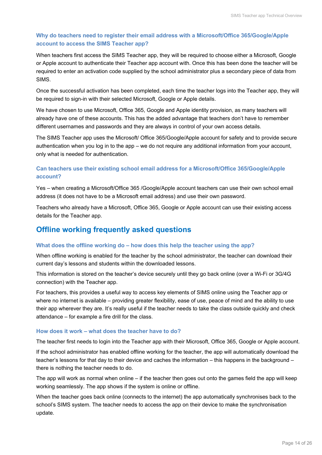#### **Why do teachers need to register their email address with a Microsoft/Office 365/Google/Apple account to access the SIMS Teacher app?**

When teachers first access the SIMS Teacher app, they will be required to choose either a Microsoft, Google or Apple account to authenticate their Teacher app account with. Once this has been done the teacher will be required to enter an activation code supplied by the school administrator plus a secondary piece of data from SIMS.

Once the successful activation has been completed, each time the teacher logs into the Teacher app, they will be required to sign-in with their selected Microsoft, Google or Apple details.

We have chosen to use Microsoft, Office 365, Google and Apple identity provision, as many teachers will already have one of these accounts. This has the added advantage that teachers don't have to remember different usernames and passwords and they are always in control of your own access details.

The SIMS Teacher app uses the Microsoft/ Office 365/Google/Apple account for safety and to provide secure authentication when you log in to the app – we do not require any additional information from your account, only what is needed for authentication.

#### **Can teachers use their existing school email address for a Microsoft/Office 365/Google/Apple account?**

Yes – when creating a Microsoft/Office 365 /Google/Apple account teachers can use their own school email address (it does not have to be a Microsoft email address) and use their own password.

Teachers who already have a Microsoft, Office 365, Google or Apple account can use their existing access details for the Teacher app.

## <span id="page-14-0"></span>**Offline working frequently asked questions**

#### **What does the offline working do – how does this help the teacher using the app?**

When offline working is enabled for the teacher by the school administrator, the teacher can download their current day's lessons and students within the downloaded lessons.

This information is stored on the teacher's device securely until they go back online (over a Wi-Fi or 3G/4G connection) with the Teacher app.

For teachers, this provides a useful way to access key elements of SIMS online using the Teacher app or where no internet is available – providing greater flexibility, ease of use, peace of mind and the ability to use their app wherever they are. It's really useful if the teacher needs to take the class outside quickly and check attendance – for example a fire drill for the class.

#### **How does it work – what does the teacher have to do?**

The teacher first needs to login into the Teacher app with their Microsoft, Office 365, Google or Apple account.

If the school administrator has enabled offline working for the teacher, the app will automatically download the teacher's lessons for that day to their device and caches the information – this happens in the background – there is nothing the teacher needs to do.

The app will work as normal when online – if the teacher then goes out onto the games field the app will keep working seamlessly. The app shows if the system is online or offline.

When the teacher goes back online (connects to the internet) the app automatically synchronises back to the school's SIMS system. The teacher needs to access the app on their device to make the synchronisation update.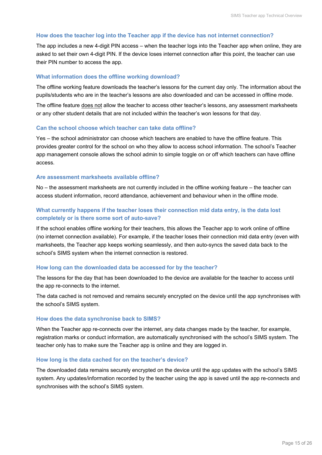#### **How does the teacher log into the Teacher app if the device has not internet connection?**

The app includes a new 4-digit PIN access – when the teacher logs into the Teacher app when online, they are asked to set their own 4-digit PIN. If the device loses internet connection after this point, the teacher can use their PIN number to access the app.

#### **What information does the offline working download?**

The offline working feature downloads the teacher's lessons for the current day only. The information about the pupils/students who are in the teacher's lessons are also downloaded and can be accessed in offline mode.

The offline feature does not allow the teacher to access other teacher's lessons, any assessment marksheets or any other student details that are not included within the teacher's won lessons for that day.

#### **Can the school choose which teacher can take data offline?**

Yes – the school administrator can choose which teachers are enabled to have the offline feature. This provides greater control for the school on who they allow to access school information. The school's Teacher app management console allows the school admin to simple toggle on or off which teachers can have offline access.

#### **Are assessment marksheets available offline?**

No – the assessment marksheets are not currently included in the offline working feature – the teacher can access student information, record attendance, achievement and behaviour when in the offline mode.

#### **What currently happens if the teacher loses their connection mid data entry, is the data lost completely or is there some sort of auto-save?**

If the school enables offline working for their teachers, this allows the Teacher app to work online of offline (no internet connection available). For example, if the teacher loses their connection mid data entry (even with marksheets, the Teacher app keeps working seamlessly, and then auto-syncs the saved data back to the school's SIMS system when the internet connection is restored.

#### **How long can the downloaded data be accessed for by the teacher?**

The lessons for the day that has been downloaded to the device are available for the teacher to access until the app re-connects to the internet.

The data cached is not removed and remains securely encrypted on the device until the app synchronises with the school's SIMS system.

#### **How does the data synchronise back to SIMS?**

When the Teacher app re-connects over the internet, any data changes made by the teacher, for example, registration marks or conduct information, are automatically synchronised with the school's SIMS system. The teacher only has to make sure the Teacher app is online and they are logged in.

#### **How long is the data cached for on the teacher's device?**

The downloaded data remains securely encrypted on the device until the app updates with the school's SIMS system. Any updates/information recorded by the teacher using the app is saved until the app re-connects and synchronises with the school's SIMS system.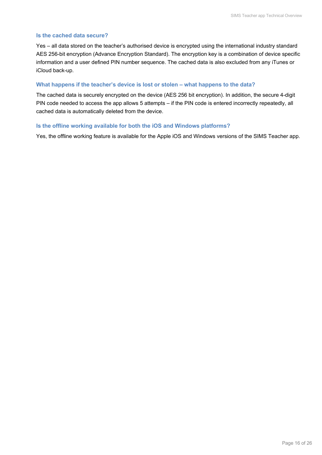#### **Is the cached data secure?**

Yes – all data stored on the teacher's authorised device is encrypted using the international industry standard AES 256-bit encryption (Advance Encryption Standard). The encryption key is a combination of device specific information and a user defined PIN number sequence. The cached data is also excluded from any iTunes or iCloud back-up.

#### **What happens if the teacher's device is lost or stolen – what happens to the data?**

The cached data is securely encrypted on the device (AES 256 bit encryption). In addition, the secure 4-digit PIN code needed to access the app allows 5 attempts – if the PIN code is entered incorrectly repeatedly, all cached data is automatically deleted from the device.

#### **Is the offline working available for both the iOS and Windows platforms?**

Yes, the offline working feature is available for the Apple iOS and Windows versions of the SIMS Teacher app.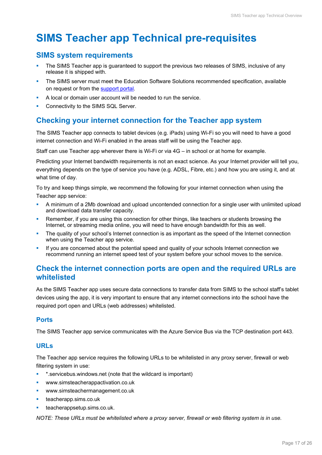## <span id="page-17-0"></span>**SIMS Teacher app Technical pre-requisites**

### <span id="page-17-1"></span>**SIMS system requirements**

- The SIMS Teacher app is guaranteed to support the previous two releases of SIMS, inclusive of any release it is shipped with.
- The SIMS server must meet the Education Software Solutions recommended specification, available on request or from the [support portal.](https://support.capitasoftware.com/csm?id=kb_article_view&sysparm_article=KB0035434)
- A local or domain user account will be needed to run the service.
- Connectivity to the SIMS SQL Server.

## <span id="page-17-2"></span>**Checking your internet connection for the Teacher app system**

The SIMS Teacher app connects to tablet devices (e.g. iPads) using Wi-Fi so you will need to have a good internet connection and Wi-Fi enabled in the areas staff will be using the Teacher app.

Staff can use Teacher app wherever there is Wi-Fi or via 4G – in school or at home for example.

Predicting your Internet bandwidth requirements is not an exact science. As your Internet provider will tell you, everything depends on the type of service you have (e.g. ADSL, Fibre, etc.) and how you are using it, and at what time of day.

To try and keep things simple, we recommend the following for your internet connection when using the Teacher app service:

- A minimum of a 2Mb download and upload uncontended connection for a single user with unlimited upload and download data transfer capacity.
- **Remember, if you are using this connection for other things, like teachers or students browsing the** Internet, or streaming media online, you will need to have enough bandwidth for this as well.
- The quality of your school's Internet connection is as important as the speed of the Internet connection when using the Teacher app service.
- If you are concerned about the potential speed and quality of your schools Internet connection we recommend running an internet speed test of your system before your school moves to the service.

## <span id="page-17-3"></span>**Check the internet connection ports are open and the required URLs are whitelisted**

As the SIMS Teacher app uses secure data connections to transfer data from SIMS to the school staff's tablet devices using the app, it is very important to ensure that any internet connections into the school have the required port open and URLs (web addresses) whitelisted.

#### <span id="page-17-4"></span>**Ports**

The SIMS Teacher app service communicates with the Azure Service Bus via the TCP destination port 443.

#### <span id="page-17-5"></span>**URLs**

The Teacher app service requires the following URLs to be whitelisted in any proxy server, firewall or web filtering system in use:

- \*.servicebus.windows.net (note that the wildcard is important)
- www.simsteacherappactivation.co.uk
- www.simsteachermanagement.co.uk
- teacherapp.sims.co.uk
- teacherappsetup.sims.co.uk.

*NOTE: These URLs must be whitelisted where a proxy server, firewall or web filtering system is in use.*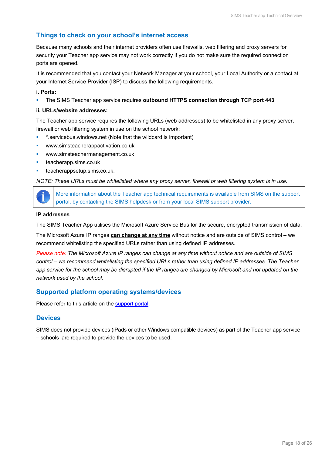#### <span id="page-18-0"></span>**Things to check on your school's internet access**

Because many schools and their internet providers often use firewalls, web filtering and proxy servers for security your Teacher app service may not work correctly if you do not make sure the required connection ports are opened.

It is recommended that you contact your Network Manager at your school, your Local Authority or a contact at your Internet Service Provider (ISP) to discuss the following requirements.

#### **i. Ports:**

The SIMS Teacher app service requires **outbound HTTPS connection through TCP port 443**.

#### **ii. URLs/website addresses:**

The Teacher app service requires the following URLs (web addresses) to be whitelisted in any proxy server, firewall or web filtering system in use on the school network:

- \* \*.servicebus.windows.net (Note that the wildcard is important)
- www.simsteacherappactivation.co.uk
- www.simsteachermanagement.co.uk
- teacherapp.sims.co.uk
- teacherappsetup.sims.co.uk.

*NOTE: These URLs must be whitelisted where any proxy server, firewall or web filtering system is in use.*

More information about the Teacher app technical requirements is available from SIMS on the support portal, by contacting the SIMS helpdesk or from your local SIMS support provider.

#### **IP addresses**

The SIMS Teacher App utilises the Microsoft Azure Service Bus for the secure, encrypted transmission of data.

The Microsoft Azure IP ranges **can change at any time** without notice and are outside of SIMS control – we recommend whitelisting the specified URLs rather than using defined IP addresses.

*Please note: The Microsoft Azure IP ranges can change at any time without notice and are outside of SIMS control – we recommend whitelisting the specified URLs rather than using defined IP addresses. The Teacher*  app service for the school may be disrupted if the IP ranges are changed by Microsoft and not updated on the *network used by the school.*

#### <span id="page-18-1"></span>**Supported platform operating systems/devices**

<span id="page-18-2"></span>Please refer to this article on the [support portal.](https://support.capitasoftware.com/csm?id=kb_article_view&sysparm_article=KB0044021)

#### **Devices**

SIMS does not provide devices (iPads or other Windows compatible devices) as part of the Teacher app service – schools are required to provide the devices to be used.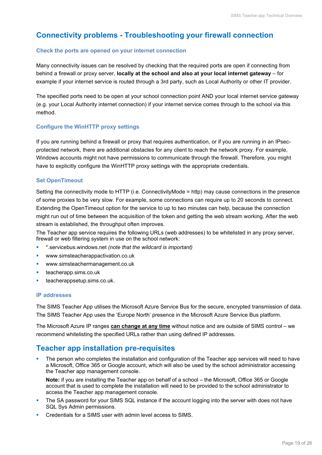## <span id="page-19-0"></span>**Connectivity problems - Troubleshooting your firewall connection**

#### **Check the ports are opened on your internet connection**

Many connectivity issues can be resolved by checking that the required ports are open if connecting from behind a firewall or proxy server, **locally at the school and also at your local internet gateway** – for example if your internet service is routed through a 3rd party, such as Local Authority or other IT provider.

The specified ports need to be open at your school connection point AND your local internet service gateway (e.g. your Local Authority internet connection) if your internet service comes through to the school via this method.

#### **Configure the WinHTTP proxy settings**

If you are running behind a firewall or proxy that requires authentication, or if you are running in an IPsecprotected network, there are additional obstacles for any client to reach the network proxy. For example, Windows accounts might not have permissions to communicate through the firewall. Therefore, you might have to explicitly configure the WinHTTP proxy settings with the appropriate credentials.

#### **Set OpenTimeout**

Setting the connectivity mode to HTTP (i.e. ConnectivityMode = http) may cause connections in the presence of some proxies to be very slow. For example, some connections can require up to 20 seconds to connect. Extending the OpenTimeout option for the service to up to two minutes can help, because the connection might run out of time between the acquisition of the token and getting the web stream working. After the web stream is established, the throughput often improves.

The Teacher app service requires the following URLs (web addresses) to be whitelisted in any proxy server, firewall or web filtering system in use on the school network:

- \*.servicebus.windows.net *(note that the wildcard is important)*
- www.simsteacherappactivation.co.uk
- www.simsteachermanagement.co.uk
- teacherapp.sims.co.uk
- teacherappsetup.sims.co.uk.

#### **IP addresses**

The SIMS Teacher App utilises the Microsoft Azure Service Bus for the secure, encrypted transmission of data. The SIMS Teacher App uses the 'Europe North' presence in the Microsoft Azure Service Bus platform.

The Microsoft Azure IP ranges **can change at any time** without notice and are outside of SIMS control – we recommend whitelisting the specified URLs rather than using defined IP addresses.

### <span id="page-19-1"></span>**Teacher app installation pre-requisites**

 The person who completes the installation and configuration of the Teacher app services will need to have a Microsoft, Office 365 or Google account, which will also be used by the school administrator accessing the Teacher app management console.

**Note:** if you are installing the Teacher app on behalf of a school – the Microsoft, Office 365 or Google account that is used to complete the installation will need to be provided to the school administrator to access the Teacher app management console.

- The SA password for your SIMS SQL instance if the account logging into the server with does not have SQL Sys Admin permissions.
- Credentials for a SIMS user with admin level access to SIMS.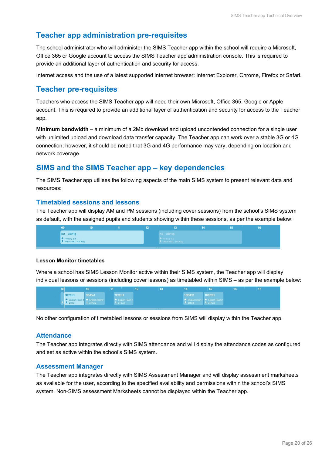## <span id="page-20-0"></span>**Teacher app administration pre-requisites**

The school administrator who will administer the SIMS Teacher app within the school will require a Microsoft, Office 365 or Google account to access the SIMS Teacher app administration console. This is required to provide an additional layer of authentication and security for access.

<span id="page-20-1"></span>Internet access and the use of a latest supported internet browser: Internet Explorer, Chrome, Firefox or Safari.

### **Teacher pre-requisites**

Teachers who access the SIMS Teacher app will need their own Microsoft, Office 365, Google or Apple account. This is required to provide an additional layer of authentication and security for access to the Teacher app.

**Minimum bandwidth** – a minimum of a 2Mb download and upload uncontended connection for a single user with unlimited upload and download data transfer capacity. The Teacher app can work over a stable 3G or 4G connection; however, it should be noted that 3G and 4G performance may vary, depending on location and network coverage.

## <span id="page-20-2"></span>**SIMS and the SIMS Teacher app – key dependencies**

The SIMS Teacher app utilises the following aspects of the main SIMS system to present relevant data and resources:

#### <span id="page-20-3"></span>**Timetabled sessions and lessons**

The Teacher app will display AM and PM sessions (including cover sessions) from the school's SIMS system as default, with the assigned pupils and students showing within these sessions, as per the example below:



#### **Lesson Monitor timetables**

Where a school has SIMS Lesson Monitor active within their SIMS system, the Teacher app will display individual lessons or sessions (including cover lessons) as timetabled within SIMS – as per the example below:



<span id="page-20-4"></span>No other configuration of timetabled lessons or sessions from SIMS will display within the Teacher app.

#### **Attendance**

The Teacher app integrates directly with SIMS attendance and will display the attendance codes as configured and set as active within the school's SIMS system.

#### <span id="page-20-5"></span>**Assessment Manager**

The Teacher app integrates directly with SIMS Assessment Manager and will display assessment marksheets as available for the user, according to the specified availability and permissions within the school's SIMS system. Non-SIMS assessment Marksheets cannot be displayed within the Teacher app.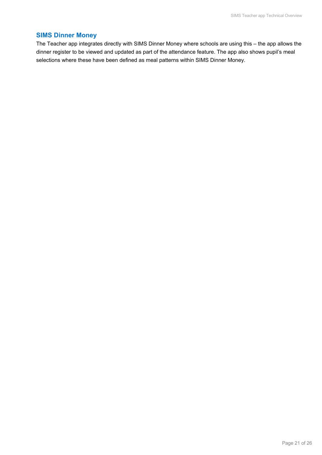#### **SIMS Dinner Money**

The Teacher app integrates directly with SIMS Dinner Money where schools are using this – the app allows the dinner register to be viewed and updated as part of the attendance feature. The app also shows pupil's meal selections where these have been defined as meal patterns within SIMS Dinner Money.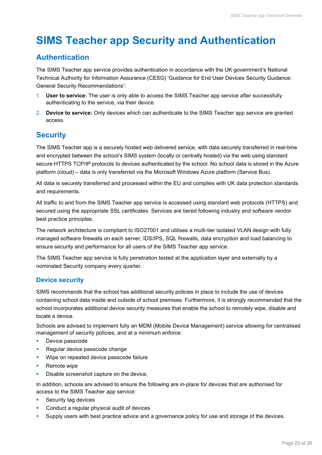## <span id="page-22-0"></span>**SIMS Teacher app Security and Authentication**

## <span id="page-22-1"></span>**Authentication**

The SIMS Teacher app service provides authentication in accordance with the UK government's National Technical Authority for Information Assurance (CESG) 'Guidance for End User Devices Security Guidance: General Security Recommendations':

- 1. **User to service:** The user is only able to access the SIMS Teacher app service after successfully authenticating to the service, via their device.
- 2. **Device to service:** Only devices which can authenticate to the SIMS Teacher app service are granted access.

## <span id="page-22-2"></span>**Security**

The SIMS Teacher app is a securely hosted web delivered service, with data securely transferred in real-time and encrypted between the school's SIMS system (locally or centrally hosted) via the web using standard secure HTTPS TCP/IP protocols to devices authenticated by the school. No school data is stored in the Azure platform (cloud) – data is only transferred via the Microsoft Windows Azure platform (Service Bus).

All data is securely transferred and processed within the EU and complies with UK data protection standards and requirements.

All traffic to and from the SIMS Teacher app service is accessed using standard web protocols (HTTPS) and secured using the appropriate SSL certificates. Services are tiered following industry and software vendor best practice principles.

The network architecture is compliant to ISO27001 and utilises a multi-tier isolated VLAN design with fully managed software firewalls on each server, IDS/IPS, SQL firewalls, data encryption and load balancing to ensure security and performance for all users of the SIMS Teacher app service.

The SIMS Teacher app service is fully penetration tested at the application layer and externally by a nominated Security company every quarter.

### <span id="page-22-3"></span>**Device security**

SIMS recommends that the school has additional security policies in place to include the use of devices containing school data inside and outside of school premises. Furthermore, it is strongly recommended that the school incorporates additional device security measures that enable the school to remotely wipe, disable and locate a device.

Schools are advised to implement fully an MDM (Mobile Device Management) service allowing for centralised management of security policies, and at a minimum enforce:

- **Device passcode**
- **Regular device passcode change**
- Wipe on repeated device passcode failure
- Remote wipe
- **Disable screenshot capture on the device.**

In addition, schools are advised to ensure the following are in-place for devices that are authorised for access to the SIMS Teacher app service:

- **Security tag devices**
- Conduct a regular physical audit of devices
- **Supply users with best practice advice and a governance policy for use and storage of the devices.**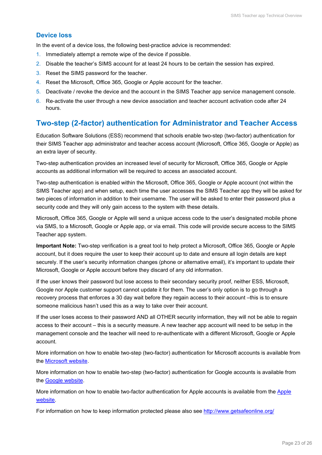#### <span id="page-23-0"></span>**Device loss**

In the event of a device loss, the following best-practice advice is recommended:

- 1. Immediately attempt a remote wipe of the device if possible.
- 2. Disable the teacher's SIMS account for at least 24 hours to be certain the session has expired.
- 3. Reset the SIMS password for the teacher.
- 4. Reset the Microsoft, Office 365, Google or Apple account for the teacher.
- 5. Deactivate / revoke the device and the account in the SIMS Teacher app service management console.
- 6. Re-activate the user through a new device association and teacher account activation code after 24 hours.

## <span id="page-23-1"></span>**Two-step (2-factor) authentication for Administrator and Teacher Access**

Education Software Solutions (ESS) recommend that schools enable two-step (two-factor) authentication for their SIMS Teacher app administrator and teacher access account (Microsoft, Office 365, Google or Apple) as an extra layer of security.

Two-step authentication provides an increased level of security for Microsoft, Office 365, Google or Apple accounts as additional information will be required to access an associated account.

Two-step authentication is enabled within the Microsoft, Office 365, Google or Apple account (not within the SIMS Teacher app) and when setup, each time the user accesses the SIMS Teacher app they will be asked for two pieces of information in addition to their username. The user will be asked to enter their password plus a security code and they will only gain access to the system with these details.

Microsoft, Office 365, Google or Apple will send a unique access code to the user's designated mobile phone via SMS, to a Microsoft, Google or Apple app, or via email. This code will provide secure access to the SIMS Teacher app system.

**Important Note:** Two-step verification is a great tool to help protect a Microsoft, Office 365, Google or Apple account, but it does require the user to keep their account up to date and ensure all login details are kept securely. If the user's security information changes (phone or alternative email), it's important to update their Microsoft, Google or Apple account before they discard of any old information.

If the user knows their password but lose access to their secondary security proof, neither ESS, Microsoft, Google nor Apple customer support cannot update it for them. The user's only option is to go through a recovery process that enforces a 30 day wait before they regain access to their account –this is to ensure someone malicious hasn't used this as a way to take over their account.

If the user loses access to their password AND all OTHER security information, they will not be able to regain access to their account – this is a security measure. A new teacher app account will need to be setup in the management console and the teacher will need to re-authenticate with a different Microsoft, Google or Apple account.

More information on how to enable two-step (two-factor) authentication for Microsoft accounts is available from the [Microsoft website.](http://windows.microsoft.com/en-gb/windows/two-step-verification-faq)

More information on how to enable two-step (two-factor) authentication for Google accounts is available from the [Google website.](https://www.google.com/landing/2step/)

More information on how to enable two-factor authentication for [Apple](https://support.apple.com/en-gb/HT204915) accounts is available from the Apple [website.](https://support.apple.com/en-gb/HT204915)

For information on how to keep information protected please also see<http://www.getsafeonline.org/>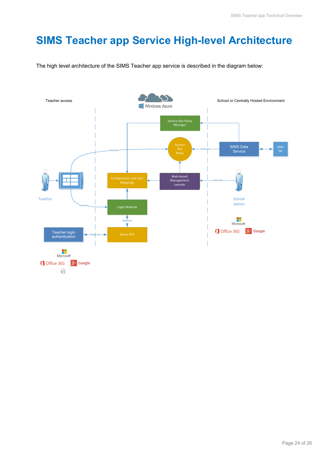## <span id="page-24-0"></span>**SIMS Teacher app Service High-level Architecture**

The high level architecture of the SIMS Teacher app service is described in the diagram below:

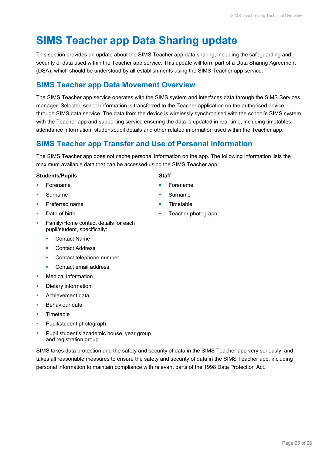## <span id="page-25-0"></span>**SIMS Teacher app Data Sharing update**

This section provides an update about the SIMS Teacher app data sharing, including the safeguarding and security of data used within the Teacher app service. This update will form part of a Data Sharing Agreement (DSA), which should be understood by all establishments using the SIMS Teacher app service.

## <span id="page-25-1"></span>**SIMS Teacher app Data Movement Overview**

The SIMS Teacher app service operates with the SIMS system and interfaces data through the SIMS Services manager. Selected school information is transferred to the Teacher application on the authorised device through SIMS data service. The data from the device is wirelessly synchronised with the school's SIMS system with the Teacher app and supporting service ensuring the data is updated in real-time, including timetables, attendance information, student/pupil details and other related information used within the Teacher app.

## <span id="page-25-2"></span>**SIMS Teacher app Transfer and Use of Personal Information**

The SIMS Teacher app does not cache personal information on the app. The following information lists the maximum available data that can be accessed using the SIMS Teacher app:

#### **Students/Pupils Staff**

- **Forename**
- Surname
- **Preferred name**
- Date of birth
- Family/Home contact details for each pupil/student, specifically:
	- **•** Contact Name
	- Contact Address
	- Contact telephone number
	- Contact email address
- **Medical information**
- Dietary information
- **Achievement data**
- Behaviour data
- Timetable
- **Pupil/student photograph**
- **Pupil student's academic house, year group** and registration group.

SIMS takes data protection and the safety and security of data in the SIMS Teacher app very seriously, and takes all reasonable measures to ensure the safety and security of data in the SIMS Teacher app, including personal information to maintain compliance with relevant parts of the 1998 Data Protection Act.

- 
- **Forename**
- Surname
- **Timetable**
- Teacher photograph.